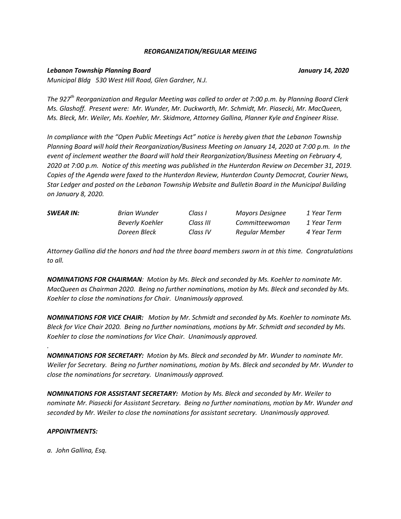#### *REORGANIZATION/REGULAR MEEING*

### *Lebanon Township Planning Board January 14, 2020*

*Municipal Bldg 530 West Hill Road, Glen Gardner, N.J.*

*The 927th Reorganization and Regular Meeting was called to order at 7:00 p.m. by Planning Board Clerk Ms. Glashoff. Present were: Mr. Wunder, Mr. Duckworth, Mr. Schmidt, Mr. Piasecki, Mr. MacQueen, Ms. Bleck, Mr. Weiler, Ms. Koehler, Mr. Skidmore, Attorney Gallina, Planner Kyle and Engineer Risse.*

*In compliance with the "Open Public Meetings Act" notice is hereby given that the Lebanon Township Planning Board will hold their Reorganization/Business Meeting on January 14, 2020 at 7:00 p.m. In the event of inclement weather the Board will hold their Reorganization/Business Meeting on February 4, 2020 at 7:00 p.m. Notice of this meeting was published in the Hunterdon Review on December 31, 2019. Copies of the Agenda were faxed to the Hunterdon Review, Hunterdon County Democrat, Courier News, Star Ledger and posted on the Lebanon Township Website and Bulletin Board in the Municipal Building on January 8, 2020.*

| <b>SWEAR IN:</b> | Brian Wunder    | Class I   | Mayors Designee | 1 Year Term |
|------------------|-----------------|-----------|-----------------|-------------|
|                  | Beverly Koehler | Class III | Committeewoman  | 1 Year Term |
|                  | Doreen Bleck    | Class IV  | Regular Member  | 4 Year Term |

*Attorney Gallina did the honors and had the three board members sworn in at this time. Congratulations to all.*

*NOMINATIONS FOR CHAIRMAN: Motion by Ms. Bleck and seconded by Ms. Koehler to nominate Mr. MacQueen as Chairman 2020. Being no further nominations, motion by Ms. Bleck and seconded by Ms. Koehler to close the nominations for Chair. Unanimously approved.*

*NOMINATIONS FOR VICE CHAIR: Motion by Mr. Schmidt and seconded by Ms. Koehler to nominate Ms. Bleck for Vice Chair 2020. Being no further nominations, motions by Mr. Schmidt and seconded by Ms. Koehler to close the nominations for Vice Chair. Unanimously approved.*

*NOMINATIONS FOR SECRETARY: Motion by Ms. Bleck and seconded by Mr. Wunder to nominate Mr. Weiler for Secretary. Being no further nominations, motion by Ms. Bleck and seconded by Mr. Wunder to close the nominations for secretary. Unanimously approved.*

*NOMINATIONS FOR ASSISTANT SECRETARY: Motion by Ms. Bleck and seconded by Mr. Weiler to nominate Mr. Piasecki for Assistant Secretary. Being no further nominations, motion by Mr. Wunder and seconded by Mr. Weiler to close the nominations for assistant secretary. Unanimously approved.*

### *APPOINTMENTS:*

*.* 

*a. John Gallina, Esq.*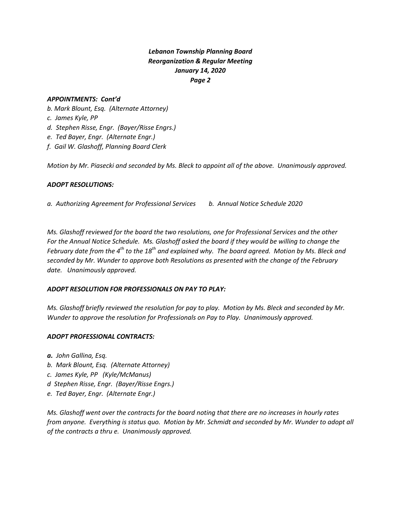## *Lebanon Township Planning Board Reorganization & Regular Meeting January 14, 2020 Page 2*

## *APPOINTMENTS: Cont'd*

- *b. Mark Blount, Esq. (Alternate Attorney)*
- *c. James Kyle, PP*
- *d. Stephen Risse, Engr. (Bayer/Risse Engrs.)*
- *e. Ted Bayer, Engr. (Alternate Engr.)*
- *f. Gail W. Glashoff, Planning Board Clerk*

*Motion by Mr. Piasecki and seconded by Ms. Bleck to appoint all of the above. Unanimously approved.*

### *ADOPT RESOLUTIONS:*

*a. Authorizing Agreement for Professional Services b. Annual Notice Schedule 2020*

*Ms. Glashoff reviewed for the board the two resolutions, one for Professional Services and the other For the Annual Notice Schedule. Ms. Glashoff asked the board if they would be willing to change the February date from the 4th to the 18th and explained why. The board agreed. Motion by Ms. Bleck and seconded by Mr. Wunder to approve both Resolutions as presented with the change of the February date. Unanimously approved.*

### *ADOPT RESOLUTION FOR PROFESSIONALS ON PAY TO PLAY:*

*Ms. Glashoff briefly reviewed the resolution for pay to play. Motion by Ms. Bleck and seconded by Mr. Wunder to approve the resolution for Professionals on Pay to Play. Unanimously approved.*

### *ADOPT PROFESSIONAL CONTRACTS:*

- *a. John Gallina, Esq.*
- *b. Mark Blount, Esq. (Alternate Attorney)*
- *c. James Kyle, PP (Kyle/McManus)*
- *d Stephen Risse, Engr. (Bayer/Risse Engrs.)*
- *e. Ted Bayer, Engr. (Alternate Engr.)*

*Ms. Glashoff went over the contracts for the board noting that there are no increases in hourly rates from anyone. Everything is status quo. Motion by Mr. Schmidt and seconded by Mr. Wunder to adopt all of the contracts a thru e. Unanimously approved.*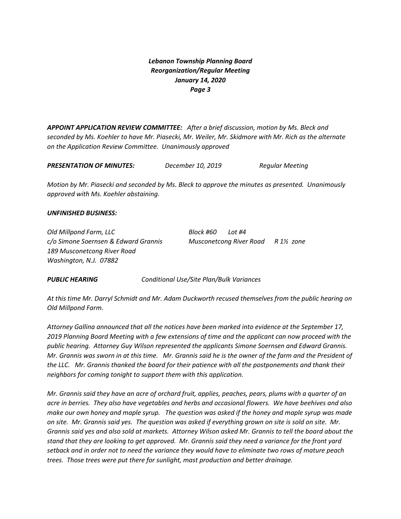# *Lebanon Township Planning Board Reorganization/Regular Meeting January 14, 2020 Page 3*

*APPOINT APPLICATION REVIEW COMMITTEE: After a brief discussion, motion by Ms. Bleck and seconded by Ms. Koehler to have Mr. Piasecki, Mr. Weiler, Mr. Skidmore with Mr. Rich as the alternate on the Application Review Committee. Unanimously approved*

| <b>PRESENTATION OF MINUTES:</b> | December 10, 2019 | Regular Meeting |
|---------------------------------|-------------------|-----------------|
|---------------------------------|-------------------|-----------------|

*Motion by Mr. Piasecki and seconded by Ms. Bleck to approve the minutes as presented. Unanimously approved with Ms. Koehler abstaining.*

#### *UNFINISHED BUSINESS:*

*Old Millpond Farm, LLC Block #60 Lot #4 c/o Simone Soernsen & Edward Grannis Musconetcong River Road R 1½ zone 189 Musconetcong River Road Washington, N.J. 07882*

*PUBLIC HEARING Conditional Use/Site Plan/Bulk Variances*

*At this time Mr. Darryl Schmidt and Mr. Adam Duckworth recused themselves from the public hearing on Old Millpond Farm.*

*Attorney Gallina announced that all the notices have been marked into evidence at the September 17, 2019 Planning Board Meeting with a few extensions of time and the applicant can now proceed with the public hearing. Attorney Guy Wilson represented the applicants Simone Soernsen and Edward Grannis. Mr. Grannis was sworn in at this time. Mr. Grannis said he is the owner of the farm and the President of the LLC. Mr. Grannis thanked the board for their patience with all the postponements and thank their neighbors for coming tonight to support them with this application.*

*Mr. Grannis said they have an acre of orchard fruit, applies, peaches, pears, plums with a quarter of an acre in berries. They also have vegetables and herbs and occasional flowers. We have beehives and also make our own honey and maple syrup. The question was asked if the honey and maple syrup was made on site. Mr. Grannis said yes. The question was asked if everything grown on site is sold on site. Mr. Grannis said yes and also sold at markets. Attorney Wilson asked Mr. Grannis to tell the board about the stand that they are looking to get approved. Mr. Grannis said they need a variance for the front yard setback and in order not to need the variance they would have to eliminate two rows of mature peach trees. Those trees were put there for sunlight, mast production and better drainage.*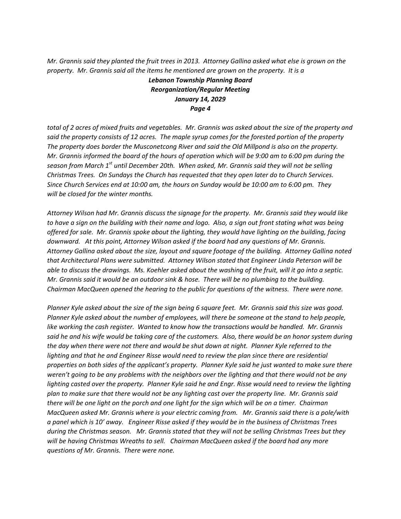*Mr. Grannis said they planted the fruit trees in 2013. Attorney Gallina asked what else is grown on the property. Mr. Grannis said all the items he mentioned are grown on the property. It is a* 

> *Lebanon Township Planning Board Reorganization/Regular Meeting January 14, 2029 Page 4*

*total of 2 acres of mixed fruits and vegetables. Mr. Grannis was asked about the size of the property and said the property consists of 12 acres. The maple syrup comes for the forested portion of the property The property does border the Musconetcong River and said the Old Millpond is also on the property. Mr. Grannis informed the board of the hours of operation which will be 9:00 am to 6:00 pm during the season from March 1 st until December 20th. When asked, Mr. Grannis said they will not be selling Christmas Trees. On Sundays the Church has requested that they open later do to Church Services. Since Church Services end at 10:00 am, the hours on Sunday would be 10:00 am to 6:00 pm. They will be closed for the winter months.* 

*Attorney Wilson had Mr. Grannis discuss the signage for the property. Mr. Grannis said they would like to have a sign on the building with their name and logo. Also, a sign out front stating what was being offered for sale. Mr. Grannis spoke about the lighting, they would have lighting on the building, facing downward. At this point, Attorney Wilson asked if the board had any questions of Mr. Grannis. Attorney Gallina asked about the size, layout and square footage of the building. Attorney Gallina noted that Architectural Plans were submitted. Attorney Wilson stated that Engineer Linda Peterson will be able to discuss the drawings. Ms. Koehler asked about the washing of the fruit, will it go into a septic. Mr. Grannis said it would be an outdoor sink & hose. There will be no plumbing to the building. Chairman MacQueen opened the hearing to the public for questions of the witness. There were none.* 

*Planner Kyle asked about the size of the sign being 6 square feet. Mr. Grannis said this size was good. Planner Kyle asked about the number of employees, will there be someone at the stand to help people, like working the cash register. Wanted to know how the transactions would be handled. Mr. Grannis said he and his wife would be taking care of the customers. Also, there would be an honor system during the day when there were not there and would be shut down at night. Planner Kyle referred to the lighting and that he and Engineer Risse would need to review the plan since there are residential properties on both sides of the applicant's property. Planner Kyle said he just wanted to make sure there weren't going to be any problems with the neighbors over the lighting and that there would not be any lighting casted over the property. Planner Kyle said he and Engr. Risse would need to review the lighting plan to make sure that there would not be any lighting cast over the property line. Mr. Grannis said there will be one light on the porch and one light for the sign which will be on a timer. Chairman MacQueen asked Mr. Grannis where is your electric coming from. Mr. Grannis said there is a pole/with a panel which is 10' away. Engineer Risse asked if they would be in the business of Christmas Trees during the Christmas season. Mr. Grannis stated that they will not be selling Christmas Trees but they will be having Christmas Wreaths to sell. Chairman MacQueen asked if the board had any more questions of Mr. Grannis. There were none.*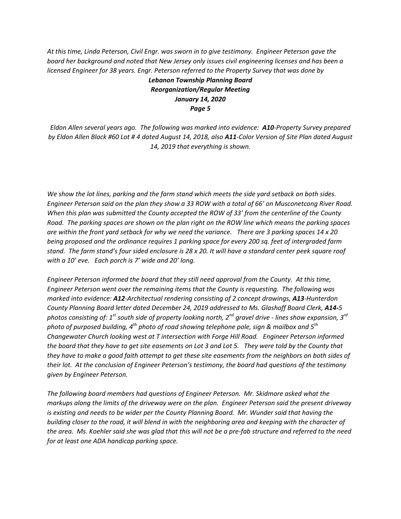*At this time, Linda Peterson, Civil Engr. was sworn in to give testimony. Engineer Peterson gave the board her background and noted that New Jersey only issues civil engineering licenses and has been a licensed Engineer for 38 years. Engr. Peterson referred to the Property Survey that was done by*

# *Lebanon Township Planning Board Reorganization/Regular Meeting January 14, 2020 Page 5*

*Eldon Allen several years ago. The following was marked into evidence: A10-Property Survey prepared by Eldon Allen Block #60 Lot # 4 dated August 14, 2018, also A11-Color Version of Site Plan dated August 14, 2019 that everything is shown.* 

*We show the lot lines, parking and the farm stand which meets the side yard setback on both sides. Engineer Peterson said on the plan they show a 33 ROW with a total of 66' on Musconetcong River Road. When this plan was submitted the County accepted the ROW of 33' from the centerline of the County Road. The parking spaces are shown on the plan right on the ROW line which means the parking spaces are within the front yard setback for why we need the variance. There are 3 parking spaces 14 x 20 being proposed and the ordinance requires 1 parking space for every 200 sq. feet of intergraded farm stand. The farm stand's four sided enclosure is 28 x 20. It will have a standard center peek square roof with a 10' eve. Each porch is 7' wide and 20' long.*

*Engineer Peterson informed the board that they still need approval from the County. At this time, Engineer Peterson went over the remaining items that the County is requesting. The following was marked into evidence: A12-Architectual rendering consisting of 2 concept drawings, A13-Hunterdon County Planning Board letter dated December 24, 2019 addressed to Ms. Glashoff Board Clerk, A14-5 photos consisting of: 1st south side of property looking north, 2nd gravel drive - lines show expansion, 3rd photo of purposed building, 4th photo of road showing telephone pole, sign & mailbox and 5th Changewater Church looking west at T intersection with Forge Hill Road. Engineer Peterson informed the board that they have to get site easements on Lot 3 and Lot 5. They were told by the County that they have to make a good faith attempt to get these site easements from the neighbors on both sides of their lot. At the conclusion of Engineer Peterson's testimony, the board had questions of the testimony given by Engineer Peterson.* 

*The following board members had questions of Engineer Peterson. Mr. Skidmore asked what the markups along the limits of the driveway were on the plan. Engineer Peterson said the present driveway is existing and needs to be wider per the County Planning Board. Mr. Wunder said that having the building closer to the road, it will blend in with the neighboring area and keeping with the character of the area. Ms. Koehler said she was glad that this will not be a pre-fab structure and referred to the need for at least one ADA handicap parking space.*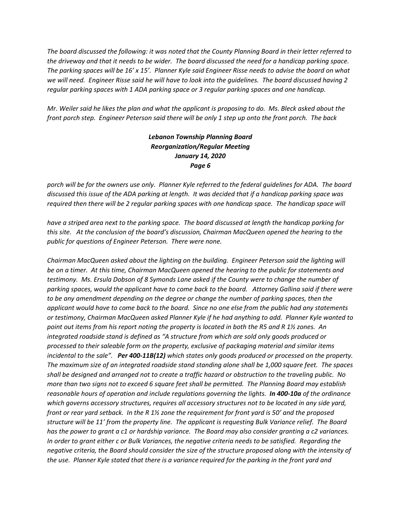*The board discussed the following: it was noted that the County Planning Board in their letter referred to the driveway and that it needs to be wider. The board discussed the need for a handicap parking space. The parking spaces will be 16' x 15'. Planner Kyle said Engineer Risse needs to advise the board on what we will need. Engineer Risse said he will have to look into the guidelines. The board discussed having 2 regular parking spaces with 1 ADA parking space or 3 regular parking spaces and one handicap.*

*Mr. Weiler said he likes the plan and what the applicant is proposing to do. Ms. Bleck asked about the front porch step. Engineer Peterson said there will be only 1 step up onto the front porch. The back* 

## *Lebanon Township Planning Board Reorganization/Regular Meeting January 14, 2020 Page 6*

*porch will be for the owners use only. Planner Kyle referred to the federal guidelines for ADA. The board discussed this issue of the ADA parking at length. It was decided that if a handicap parking space was required then there will be 2 regular parking spaces with one handicap space. The handicap space will*

*have a striped area next to the parking space. The board discussed at length the handicap parking for this site. At the conclusion of the board's discussion, Chairman MacQueen opened the hearing to the public for questions of Engineer Peterson. There were none.*

*Chairman MacQueen asked about the lighting on the building. Engineer Peterson said the lighting will be on a timer. At this time, Chairman MacQueen opened the hearing to the public for statements and testimony. Ms. Ersula Dobson of 8 Symonds Lane asked if the County were to change the number of parking spaces, would the applicant have to come back to the board. Attorney Gallina said if there were to be any amendment depending on the degree or change the number of parking spaces, then the applicant would have to come back to the board. Since no one else from the public had any statements or testimony, Chairman MacQueen asked Planner Kyle if he had anything to add. Planner Kyle wanted to point out items from his report noting the property is located in both the R5 and R 1½ zones. An integrated roadside stand is defined as "A structure from which are sold only goods produced or processed to their saleable form on the property, exclusive of packaging material and similar items incidental to the sale". Per 400-11B(12) which states only goods produced or processed on the property. The maximum size of an integrated roadside stand standing alone shall be 1,000 square feet. The spaces shall be designed and arranged not to create a traffic hazard or obstruction to the traveling public. No more than two signs not to exceed 6 square feet shall be permitted. The Planning Board may establish reasonable hours of operation and include regulations governing the lights. In 400-10a of the ordinance which governs accessory structures, requires all accessory structures not to be located in any side yard, front or rear yard setback. In the R 1½ zone the requirement for front yard is 50' and the proposed structure will be 11' from the property line. The applicant is requesting Bulk Variance relief. The Board has the power to grant a c1 or hardship variance. The Board may also consider granting a c2 variances. In order to grant either c or Bulk Variances, the negative criteria needs to be satisfied. Regarding the negative criteria, the Board should consider the size of the structure proposed along with the intensity of the use. Planner Kyle stated that there is a variance required for the parking in the front yard and*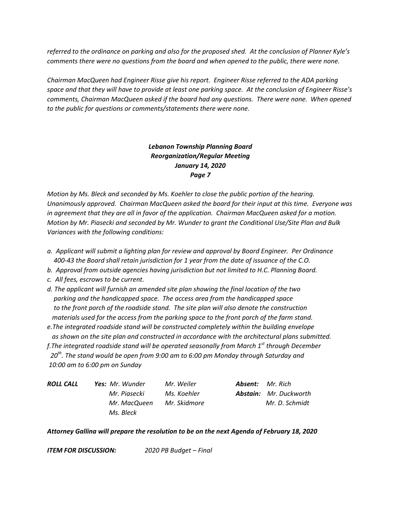*referred to the ordinance on parking and also for the proposed shed. At the conclusion of Planner Kyle's comments there were no questions from the board and when opened to the public, there were none.*

*Chairman MacQueen had Engineer Risse give his report. Engineer Risse referred to the ADA parking space and that they will have to provide at least one parking space. At the conclusion of Engineer Risse's comments, Chairman MacQueen asked if the board had any questions. There were none. When opened to the public for questions or comments/statements there were none.*

> *Lebanon Township Planning Board Reorganization/Regular Meeting January 14, 2020 Page 7*

*Motion by Ms. Bleck and seconded by Ms. Koehler to close the public portion of the hearing. Unanimously approved. Chairman MacQueen asked the board for their input at this time. Everyone was in agreement that they are all in favor of the application. Chairman MacQueen asked for a motion. Motion by Mr. Piasecki and seconded by Mr. Wunder to grant the Conditional Use/Site Plan and Bulk Variances with the following conditions:*

- *a. Applicant will submit a lighting plan for review and approval by Board Engineer. Per Ordinance 400-43 the Board shall retain jurisdiction for 1 year from the date of issuance of the C.O.*
- *b. Approval from outside agencies having jurisdiction but not limited to H.C. Planning Board.*
- *c. All fees, escrows to be current.*
- *d. The applicant will furnish an amended site plan showing the final location of the two parking and the handicapped space. The access area from the handicapped space to the front porch of the roadside stand. The site plan will also denote the construction materials used for the access from the parking space to the front porch of the farm stand.*
- *e.The integrated roadside stand will be constructed completely within the building envelope as shown on the site plan and constructed in accordance with the architectural plans submitted.*

*f.The integrated roadside stand will be operated seasonally from March 1 st through December 20th . The stand would be open from 9:00 am to 6:00 pm Monday through Saturday and 10:00 am to 6:00 pm on Sunday*

| ROLL CALL | <b>Yes:</b> Mr. Wunder | Mr. Weiler   | <b>Absent:</b> Mr. Rich       |
|-----------|------------------------|--------------|-------------------------------|
|           | Mr. Piasecki           | Ms. Koehler  | <b>Abstain:</b> Mr. Duckworth |
|           | Mr. MacQueen           | Mr. Skidmore | Mr. D. Schmidt                |
|           | Ms. Bleck              |              |                               |

### *Attorney Gallina will prepare the resolution to be on the next Agenda of February 18, 2020*

*ITEM FOR DISCUSSION: 2020 PB Budget – Final*